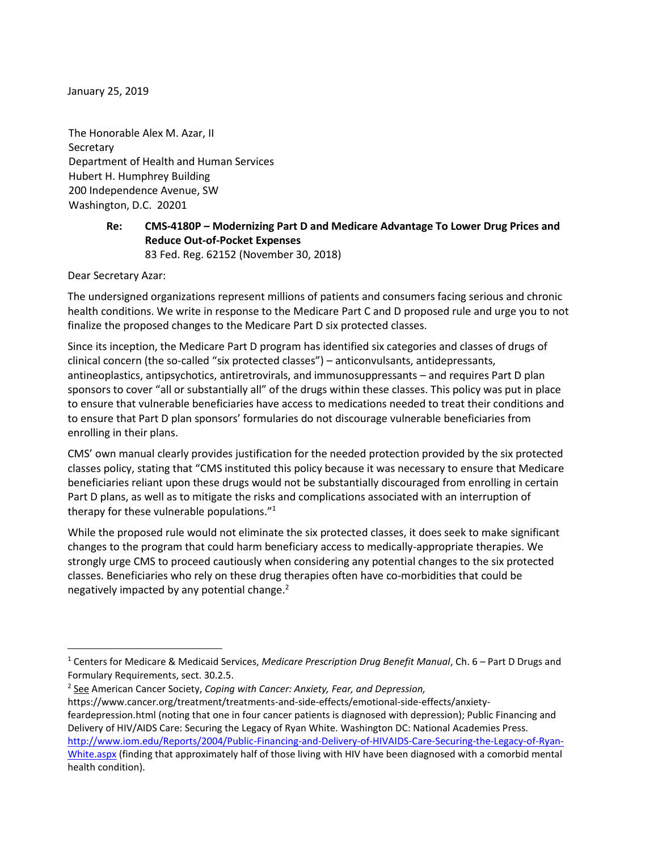January 25, 2019

The Honorable Alex M. Azar, II **Secretary** Department of Health and Human Services Hubert H. Humphrey Building 200 Independence Avenue, SW Washington, D.C. 20201

> **Re: CMS-4180P – Modernizing Part D and Medicare Advantage To Lower Drug Prices and Reduce Out-of-Pocket Expenses** 83 Fed. Reg. 62152 (November 30, 2018)

Dear Secretary Azar:

 $\overline{\phantom{a}}$ 

The undersigned organizations represent millions of patients and consumers facing serious and chronic health conditions. We write in response to the Medicare Part C and D proposed rule and urge you to not finalize the proposed changes to the Medicare Part D six protected classes.

Since its inception, the Medicare Part D program has identified six categories and classes of drugs of clinical concern (the so-called "six protected classes") – anticonvulsants, antidepressants, antineoplastics, antipsychotics, antiretrovirals, and immunosuppressants – and requires Part D plan sponsors to cover "all or substantially all" of the drugs within these classes. This policy was put in place to ensure that vulnerable beneficiaries have access to medications needed to treat their conditions and to ensure that Part D plan sponsors' formularies do not discourage vulnerable beneficiaries from enrolling in their plans.

CMS' own manual clearly provides justification for the needed protection provided by the six protected classes policy, stating that "CMS instituted this policy because it was necessary to ensure that Medicare beneficiaries reliant upon these drugs would not be substantially discouraged from enrolling in certain Part D plans, as well as to mitigate the risks and complications associated with an interruption of therapy for these vulnerable populations."<sup>1</sup>

While the proposed rule would not eliminate the six protected classes, it does seek to make significant changes to the program that could harm beneficiary access to medically-appropriate therapies. We strongly urge CMS to proceed cautiously when considering any potential changes to the six protected classes. Beneficiaries who rely on these drug therapies often have co-morbidities that could be negatively impacted by any potential change.<sup>2</sup>

<sup>1</sup> Centers for Medicare & Medicaid Services, *Medicare Prescription Drug Benefit Manual*, Ch. 6 – Part D Drugs and Formulary Requirements, sect. 30.2.5.

<sup>2</sup> See American Cancer Society, *Coping with Cancer: Anxiety, Fear, and Depression,* 

[https://www.cancer.org/treatment/treatments-and-side-effects/emotional-side-effects/anxiety](https://www.cancer.org/treatment/treatments-and-side-effects/emotional-side-effects/anxiety-fear-depression.html)[feardepression.html](https://www.cancer.org/treatment/treatments-and-side-effects/emotional-side-effects/anxiety-fear-depression.html) (noting that one in four cancer patients is diagnosed with depression); Public Financing and Delivery of HIV/AIDS Care: Securing the Legacy of Ryan White. Washington DC: National Academies Press. [http://www.iom.edu/Reports/2004/Public-Financing-and-Delivery-of-HIVAIDS-Care-Securing-the-Legacy-of-Ryan-](http://www.iom.edu/Reports/2004/Public-Financing-and-Delivery-of-HIVAIDS-Care-Securing-the-Legacy-of-Ryan-White.aspx)[White.aspx](http://www.iom.edu/Reports/2004/Public-Financing-and-Delivery-of-HIVAIDS-Care-Securing-the-Legacy-of-Ryan-White.aspx) (finding that approximately half of those living with HIV have been diagnosed with a comorbid mental health condition).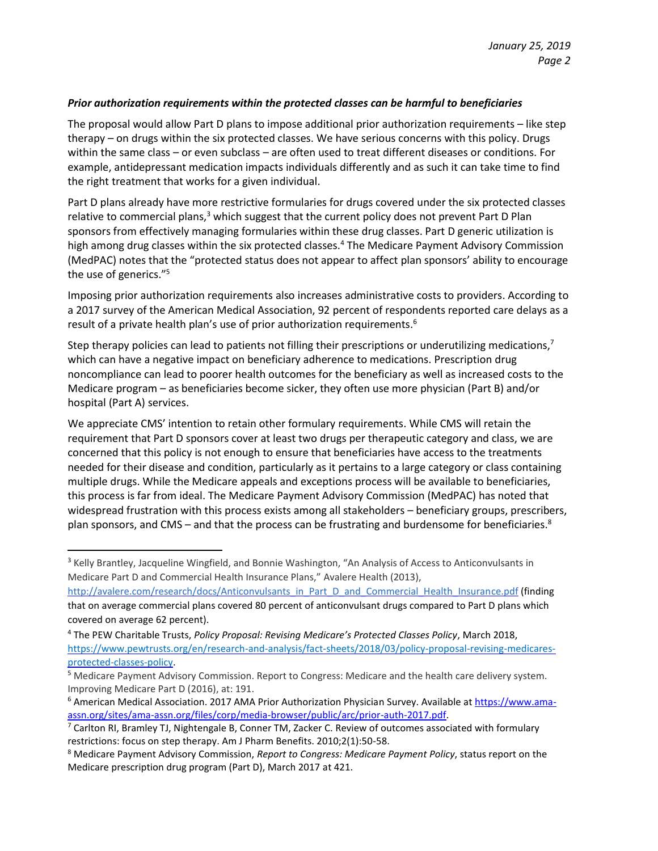## *Prior authorization requirements within the protected classes can be harmful to beneficiaries*

The proposal would allow Part D plans to impose additional prior authorization requirements – like step therapy – on drugs within the six protected classes. We have serious concerns with this policy. Drugs within the same class – or even subclass – are often used to treat different diseases or conditions. For example, antidepressant medication impacts individuals differently and as such it can take time to find the right treatment that works for a given individual.

Part D plans already have more restrictive formularies for drugs covered under the six protected classes relative to commercial plans, $3$  which suggest that the current policy does not prevent Part D Plan sponsors from effectively managing formularies within these drug classes. Part D generic utilization is high among drug classes within the six protected classes.<sup>4</sup> The Medicare Payment Advisory Commission (MedPAC) notes that the "protected status does not appear to affect plan sponsors' ability to encourage the use of generics."<sup>5</sup>

Imposing prior authorization requirements also increases administrative costs to providers. According to a 2017 survey of the American Medical Association, 92 percent of respondents reported care delays as a result of a private health plan's use of prior authorization requirements.<sup>6</sup>

Step therapy policies can lead to patients not filling their prescriptions or underutilizing medications,<sup>7</sup> which can have a negative impact on beneficiary adherence to medications. Prescription drug noncompliance can lead to poorer health outcomes for the beneficiary as well as increased costs to the Medicare program – as beneficiaries become sicker, they often use more physician (Part B) and/or hospital (Part A) services.

We appreciate CMS' intention to retain other formulary requirements. While CMS will retain the requirement that Part D sponsors cover at least two drugs per therapeutic category and class, we are concerned that this policy is not enough to ensure that beneficiaries have access to the treatments needed for their disease and condition, particularly as it pertains to a large category or class containing multiple drugs. While the Medicare appeals and exceptions process will be available to beneficiaries, this process is far from ideal. The Medicare Payment Advisory Commission (MedPAC) has noted that widespread frustration with this process exists among all stakeholders – beneficiary groups, prescribers, plan sponsors, and CMS – and that the process can be frustrating and burdensome for beneficiaries. $8$ 

l

<sup>&</sup>lt;sup>3</sup> Kelly Brantley, Jacqueline Wingfield, and Bonnie Washington, "An Analysis of Access to Anticonvulsants in Medicare Part D and Commercial Health Insurance Plans," Avalere Health (2013),

[http://avalere.com/research/docs/Anticonvulsants\\_in\\_Part\\_D\\_and\\_Commercial\\_Health\\_Insurance.pdf](http://avalere.com/research/docs/Anticonvulsants_in_Part_D_and_Commercial_Health_Insurance.pdf) (finding that on average commercial plans covered 80 percent of anticonvulsant drugs compared to Part D plans which covered on average 62 percent).

<sup>4</sup> The PEW Charitable Trusts, *Policy Proposal: Revising Medicare's Protected Classes Policy*, March 2018, [https://www.pewtrusts.org/en/research-and-analysis/fact-sheets/2018/03/policy-proposal-revising-medicares](https://www.pewtrusts.org/en/research-and-analysis/fact-sheets/2018/03/policy-proposal-revising-medicares-protected-classes-policy)[protected-classes-policy.](https://www.pewtrusts.org/en/research-and-analysis/fact-sheets/2018/03/policy-proposal-revising-medicares-protected-classes-policy)

<sup>&</sup>lt;sup>5</sup> Medicare Payment Advisory Commission. Report to Congress: Medicare and the health care delivery system. Improving Medicare Part D (2016), at: 191.

<sup>&</sup>lt;sup>6</sup> American Medical Association. 2017 AMA Prior Authorization Physician Survey. Available at [https://www.ama](https://www.ama-assn.org/sites/ama-assn.org/files/corp/media-browser/public/arc/prior-auth-2017.pdf)[assn.org/sites/ama-assn.org/files/corp/media-browser/public/arc/prior-auth-2017.pdf.](https://www.ama-assn.org/sites/ama-assn.org/files/corp/media-browser/public/arc/prior-auth-2017.pdf) 

 $7$  Carlton RI, Bramley TJ, Nightengale B, Conner TM, Zacker C. Review of outcomes associated with formulary restrictions: focus on step therapy. Am J Pharm Benefits. 2010;2(1):50-58.

<sup>8</sup> Medicare Payment Advisory Commission, *Report to Congress: Medicare Payment Policy*, status report on the Medicare prescription drug program (Part D), March 2017 at 421.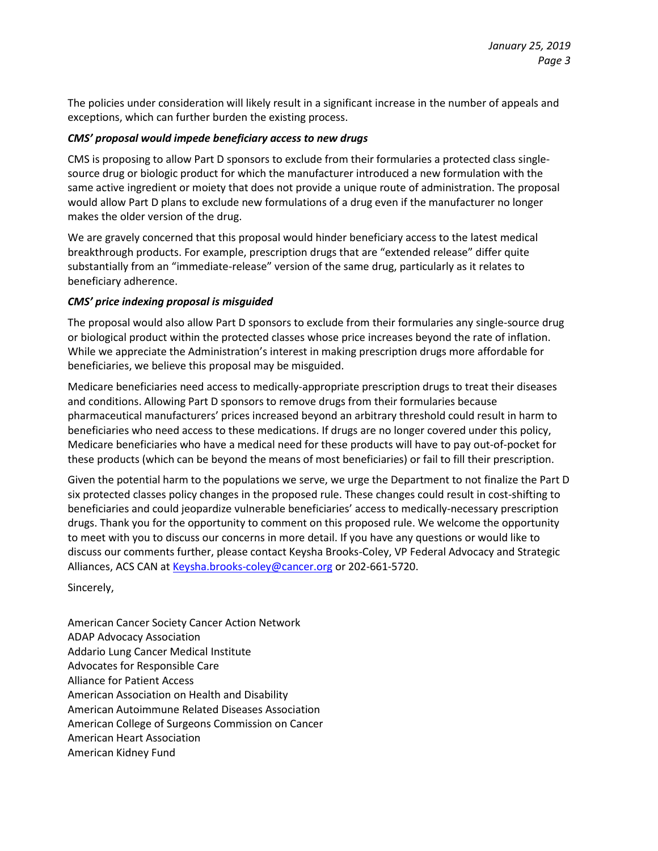The policies under consideration will likely result in a significant increase in the number of appeals and exceptions, which can further burden the existing process.

## *CMS' proposal would impede beneficiary access to new drugs*

CMS is proposing to allow Part D sponsors to exclude from their formularies a protected class singlesource drug or biologic product for which the manufacturer introduced a new formulation with the same active ingredient or moiety that does not provide a unique route of administration. The proposal would allow Part D plans to exclude new formulations of a drug even if the manufacturer no longer makes the older version of the drug.

We are gravely concerned that this proposal would hinder beneficiary access to the latest medical breakthrough products. For example, prescription drugs that are "extended release" differ quite substantially from an "immediate-release" version of the same drug, particularly as it relates to beneficiary adherence.

## *CMS' price indexing proposal is misguided*

The proposal would also allow Part D sponsors to exclude from their formularies any single-source drug or biological product within the protected classes whose price increases beyond the rate of inflation. While we appreciate the Administration's interest in making prescription drugs more affordable for beneficiaries, we believe this proposal may be misguided.

Medicare beneficiaries need access to medically-appropriate prescription drugs to treat their diseases and conditions. Allowing Part D sponsors to remove drugs from their formularies because pharmaceutical manufacturers' prices increased beyond an arbitrary threshold could result in harm to beneficiaries who need access to these medications. If drugs are no longer covered under this policy, Medicare beneficiaries who have a medical need for these products will have to pay out-of-pocket for these products (which can be beyond the means of most beneficiaries) or fail to fill their prescription.

Given the potential harm to the populations we serve, we urge the Department to not finalize the Part D six protected classes policy changes in the proposed rule. These changes could result in cost-shifting to beneficiaries and could jeopardize vulnerable beneficiaries' access to medically-necessary prescription drugs. Thank you for the opportunity to comment on this proposed rule. We welcome the opportunity to meet with you to discuss our concerns in more detail. If you have any questions or would like to discuss our comments further, please contact Keysha Brooks-Coley, VP Federal Advocacy and Strategic Alliances, ACS CAN a[t Keysha.brooks-coley@cancer.org](mailto:Keysha.brooks-coley@cancer.org) or 202-661-5720.

Sincerely,

American Cancer Society Cancer Action Network ADAP Advocacy Association Addario Lung Cancer Medical Institute Advocates for Responsible Care Alliance for Patient Access American Association on Health and Disability American Autoimmune Related Diseases Association American College of Surgeons Commission on Cancer American Heart Association American Kidney Fund